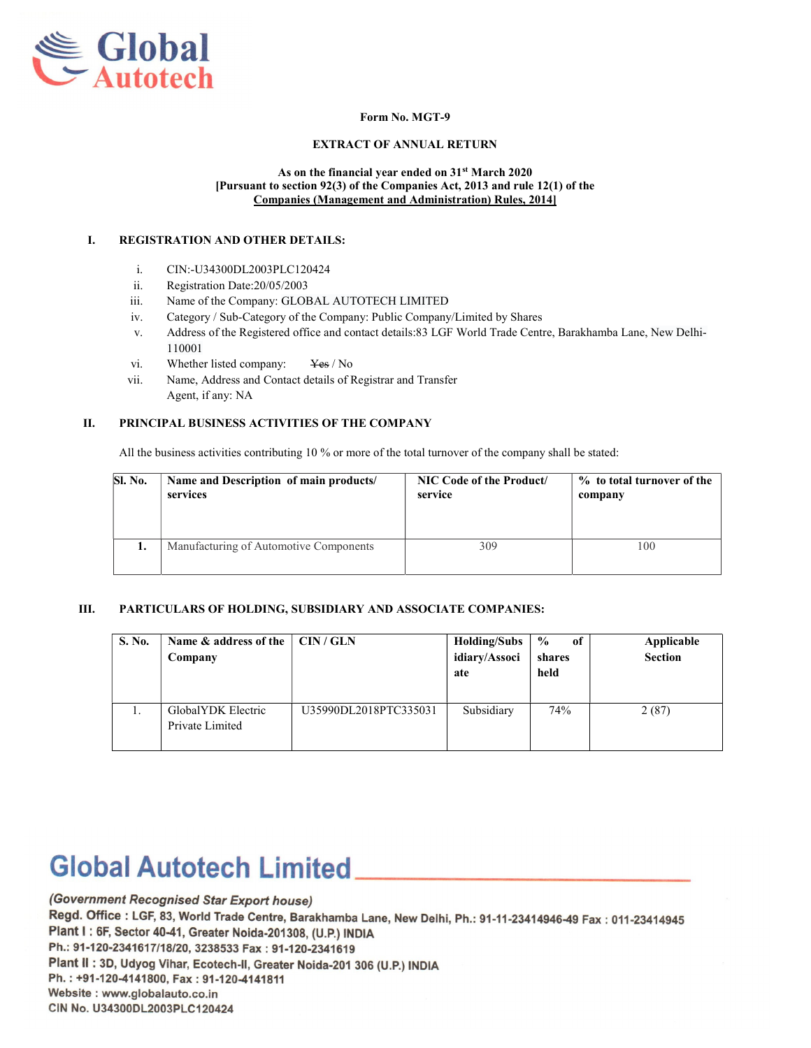

### Form No. MGT-9

### EXTRACT OF ANNUAL RETURN

As on the financial year ended on 31<sup>st</sup> March 2020 [Pursuant to section 92(3) of the Companies Act, 2013 and rule 12(1) of the Companies (Management and Administration) Rules, 2014]

### I. REGISTRATION AND OTHER DETAILS:

- i. CIN:-U34300DL2003PLC120424
- ii. Registration Date:20/05/2003
- iii. Name of the Company: GLOBAL AUTOTECH LIMITED
- iv. Category / Sub-Category of the Company: Public Company/Limited by Shares
- v. Address of the Registered office and contact details:83 LGF World Trade Centre, Barakhamba Lane, New Delhi-110001
- vi. Whether listed company: Yes / No
- vii. Name, Address and Contact details of Registrar and Transfer Agent, if any: NA

### II. PRINCIPAL BUSINESS ACTIVITIES OF THE COMPANY

All the business activities contributing 10 % or more of the total turnover of the company shall be stated:

| Sl. No. | Name and Description of main products/ | NIC Code of the Product/ | % to total turnover of the |
|---------|----------------------------------------|--------------------------|----------------------------|
|         | services                               | service                  | company                    |
|         | Manufacturing of Automotive Components | 309                      | 100                        |

### III. PARTICULARS OF HOLDING, SUBSIDIARY AND ASSOCIATE COMPANIES:

| S. No. | Name & address of the<br>Company      | CIN / GLN             | <b>Holding/Subs</b><br>idiary/Associ<br>ate | $\frac{6}{9}$<br>of<br>shares<br>held | Applicable<br><b>Section</b> |
|--------|---------------------------------------|-----------------------|---------------------------------------------|---------------------------------------|------------------------------|
| 1.     | GlobalYDK Electric<br>Private Limited | U35990DL2018PTC335031 | Subsidiary                                  | 74%                                   | 2(87)                        |

# **Global Autotech Limited**

## (Government Recognised Star Export house)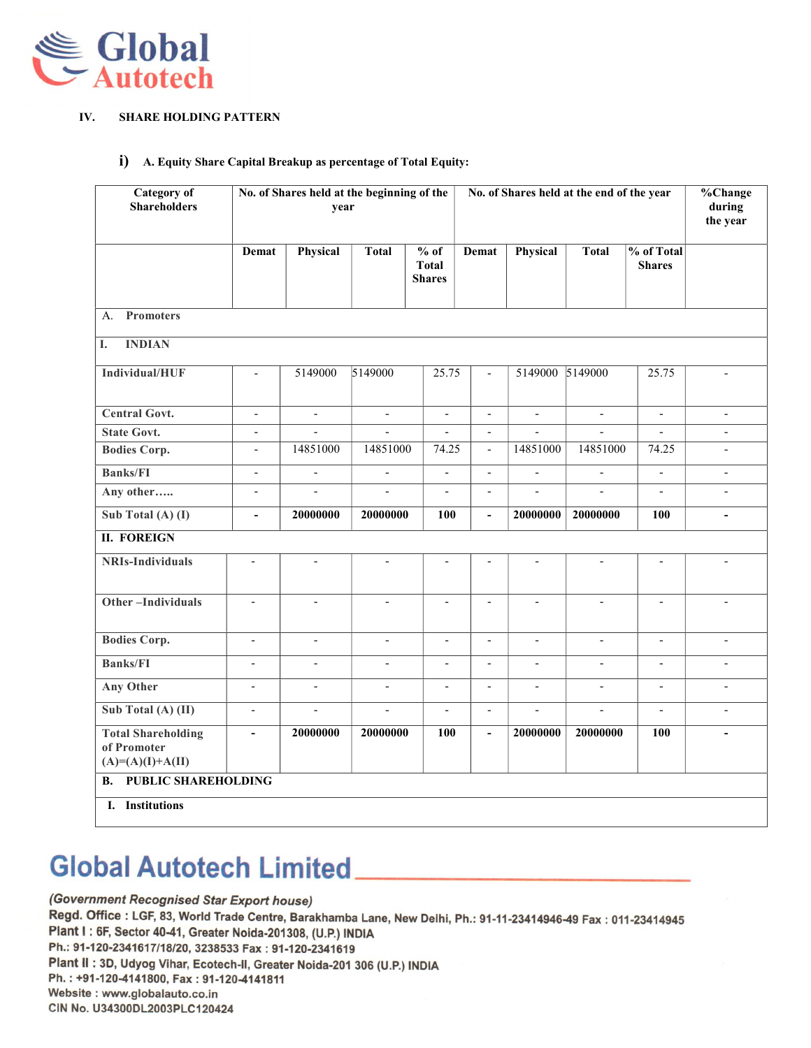

### IV. SHARE HOLDING PATTERN

### i) A. Equity Share Capital Breakup as percentage of Total Equity:

| <b>Category</b> of<br><b>Shareholders</b>                      |                          | No. of Shares held at the end of the year<br>year |                          |                                         |                          |                          |                          |                             | No. of Shares held at the beginning of the |  |  |  |  |  | %Change<br>during<br>the year |
|----------------------------------------------------------------|--------------------------|---------------------------------------------------|--------------------------|-----------------------------------------|--------------------------|--------------------------|--------------------------|-----------------------------|--------------------------------------------|--|--|--|--|--|-------------------------------|
|                                                                | Demat                    | Physical                                          | <b>Total</b>             | $%$ of<br><b>Total</b><br><b>Shares</b> | Demat                    | Physical                 | <b>Total</b>             | % of Total<br><b>Shares</b> |                                            |  |  |  |  |  |                               |
| <b>Promoters</b><br>A.                                         |                          |                                                   |                          |                                         |                          |                          |                          |                             |                                            |  |  |  |  |  |                               |
| <b>INDIAN</b><br>I.                                            |                          |                                                   |                          |                                         |                          |                          |                          |                             |                                            |  |  |  |  |  |                               |
| Individual/HUF                                                 | $\overline{a}$           | 5149000                                           | 5149000                  | 25.75                                   | $\overline{\phantom{a}}$ | 5149000 5149000          |                          | 25.75                       | $\overline{\phantom{a}}$                   |  |  |  |  |  |                               |
| <b>Central Govt.</b>                                           | $\overline{a}$           | $\overline{\phantom{a}}$                          | $\overline{\phantom{0}}$ | $\overline{\phantom{0}}$                | $\overline{a}$           | $\overline{\phantom{a}}$ | $\blacksquare$           | $\overline{\phantom{a}}$    | $\blacksquare$                             |  |  |  |  |  |                               |
| <b>State Govt.</b>                                             | $\overline{\phantom{0}}$ | $\overline{\phantom{a}}$                          | $\frac{1}{2}$            | $\overline{\phantom{a}}$                | $\blacksquare$           | $\overline{\phantom{0}}$ | $\overline{a}$           | $\overline{\phantom{a}}$    | $\overline{\phantom{a}}$                   |  |  |  |  |  |                               |
| <b>Bodies Corp.</b>                                            | $\overline{a}$           | 14851000                                          | 14851000                 | 74.25                                   | $\mathcal{L}$            | 14851000                 | 14851000                 | 74.25                       | $\blacksquare$                             |  |  |  |  |  |                               |
| <b>Banks/FI</b>                                                | $\overline{\phantom{0}}$ | $\frac{1}{2}$                                     | $\overline{\phantom{a}}$ | $\overline{\phantom{a}}$                | $\overline{\phantom{a}}$ | $\overline{\phantom{a}}$ | $\overline{\phantom{a}}$ | $\overline{\phantom{a}}$    | $\overline{\phantom{a}}$                   |  |  |  |  |  |                               |
| Any other                                                      | $\overline{a}$           | $\blacksquare$                                    | $\overline{a}$           | $\blacksquare$                          | $\blacksquare$           | $\blacksquare$           | $\frac{1}{2}$            | $\blacksquare$              | $\overline{\phantom{a}}$                   |  |  |  |  |  |                               |
| Sub Total (A) (I)                                              | $\overline{a}$           | 20000000                                          | 20000000                 | 100                                     | $\overline{\phantom{a}}$ | 20000000                 | 20000000                 | 100                         | $\blacksquare$                             |  |  |  |  |  |                               |
| <b>II. FOREIGN</b>                                             |                          |                                                   |                          |                                         |                          |                          |                          |                             |                                            |  |  |  |  |  |                               |
| <b>NRIs-Individuals</b>                                        | $\overline{\phantom{a}}$ | $\overline{\phantom{a}}$                          | $\frac{1}{2}$            | $\overline{\phantom{a}}$                | $\overline{\phantom{a}}$ | $\overline{a}$           | $\overline{\phantom{a}}$ | $\overline{\phantom{a}}$    | $\mathbf{r}$                               |  |  |  |  |  |                               |
| Other-Individuals                                              | $\overline{\phantom{a}}$ | $\overline{a}$                                    | $\blacksquare$           | $\overline{\phantom{a}}$                | $\overline{\phantom{a}}$ | $\overline{\phantom{a}}$ | $\overline{\phantom{a}}$ | $\overline{\phantom{a}}$    | $\overline{\phantom{a}}$                   |  |  |  |  |  |                               |
| <b>Bodies Corp.</b>                                            | $\overline{a}$           | $\overline{a}$                                    | $\overline{a}$           | $\overline{a}$                          | $\overline{a}$           | $\overline{\phantom{a}}$ | $\overline{a}$           | $\overline{a}$              | $\overline{a}$                             |  |  |  |  |  |                               |
| <b>Banks/FI</b>                                                | $\overline{\phantom{a}}$ | $\overline{\phantom{a}}$                          | $\overline{\phantom{a}}$ | $\blacksquare$                          | $\overline{\phantom{a}}$ | $\blacksquare$           | $\blacksquare$           | $\blacksquare$              | $\overline{\phantom{a}}$                   |  |  |  |  |  |                               |
| Any Other                                                      | $\overline{\phantom{a}}$ | $\overline{\phantom{a}}$                          | $\overline{\phantom{a}}$ | $\overline{\phantom{a}}$                | $\overline{\phantom{a}}$ | $\overline{\phantom{a}}$ | $\overline{\phantom{a}}$ | $\overline{\phantom{a}}$    | $\overline{\phantom{a}}$                   |  |  |  |  |  |                               |
| Sub Total (A) (II)                                             | $\blacksquare$           | $\overline{\phantom{a}}$                          | $\blacksquare$           | $\blacksquare$                          | $\overline{\phantom{a}}$ | $\overline{\phantom{a}}$ | $\overline{\phantom{a}}$ | $\blacksquare$              | $\overline{\phantom{a}}$                   |  |  |  |  |  |                               |
| <b>Total Shareholding</b><br>of Promoter<br>$(A)=(A)(I)+A(II)$ | $\blacksquare$           | 20000000                                          | 20000000                 | 100                                     | $\blacksquare$           | 20000000                 | 20000000                 | <b>100</b>                  | $\blacksquare$                             |  |  |  |  |  |                               |
| <b>PUBLIC SHAREHOLDING</b><br>В.                               |                          |                                                   |                          |                                         |                          |                          |                          |                             |                                            |  |  |  |  |  |                               |
| I. Institutions                                                |                          |                                                   |                          |                                         |                          |                          |                          |                             |                                            |  |  |  |  |  |                               |

# **Global Autotech Limited**

## (Government Recognised Star Export house)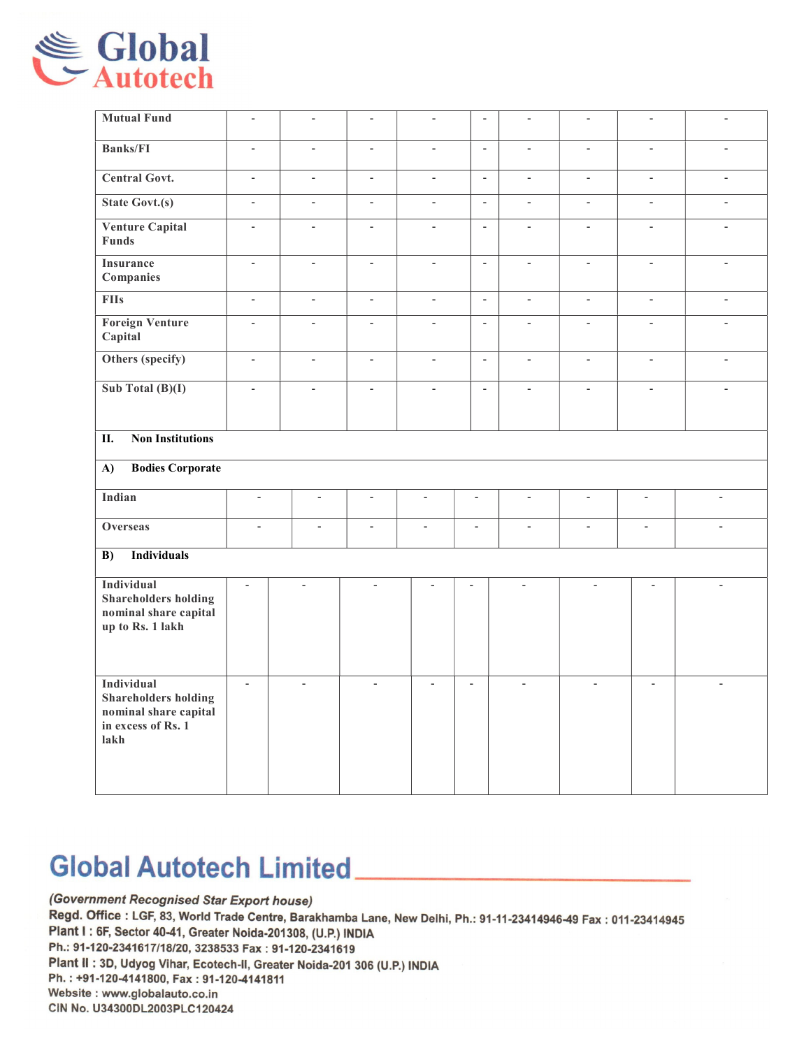| Global     |
|------------|
| - Autotech |

| <b>Mutual Fund</b>                                                                               | $\overline{\phantom{a}}$ |                          | $\overline{\phantom{a}}$ |                             | $\overline{\phantom{a}}$ |                          |                             | $\overline{\phantom{a}}$ |                          |
|--------------------------------------------------------------------------------------------------|--------------------------|--------------------------|--------------------------|-----------------------------|--------------------------|--------------------------|-----------------------------|--------------------------|--------------------------|
| <b>Banks/FI</b>                                                                                  | $\overline{\phantom{a}}$ | $\blacksquare$           | $\blacksquare$           | $\blacksquare$              | $\mathcal{L}$            | $\overline{\phantom{a}}$ | $\frac{1}{2}$               | $\blacksquare$           | $\sim$                   |
| <b>Central Govt.</b>                                                                             | $\overline{\phantom{a}}$ | $\blacksquare$           | $\blacksquare$           | $\overline{\phantom{a}}$    | $\mathcal{L}$            | $\overline{\phantom{a}}$ | $\blacksquare$              | $\overline{\phantom{a}}$ | $\mathbf{r}$             |
| State Govt.(s)                                                                                   | $\overline{a}$           | $\overline{\phantom{a}}$ | $\overline{a}$           | $\overline{a}$              | $\overline{\phantom{a}}$ | $\blacksquare$           | $\overline{a}$              | $\overline{\phantom{a}}$ | $\blacksquare$           |
| <b>Venture Capital</b><br><b>Funds</b>                                                           | $\blacksquare$           | $\blacksquare$           | $\overline{\phantom{a}}$ | $\blacksquare$              | $\blacksquare$           | $\overline{\phantom{a}}$ | $\blacksquare$              | $\overline{\phantom{a}}$ | $\overline{\phantom{a}}$ |
| <b>Insurance</b><br>Companies                                                                    | $\blacksquare$           | $\blacksquare$           | $\blacksquare$           | $\Box$                      | $\mathbb{L}$             | $\blacksquare$           | $\blacksquare$              | $\blacksquare$           | $\blacksquare$           |
| <b>FIIs</b>                                                                                      | $\blacksquare$           | $\mathbb{L}^2$           | $\mathbb{L}^2$           | $\mathcal{L}^{\mathcal{A}}$ | $\mathbb{L}$             | $\blacksquare$           | $\mathbb{L}^{\mathbb{Z}}$   | $\blacksquare$           | $\mathcal{L}$            |
| <b>Foreign Venture</b><br>Capital                                                                | $\frac{1}{2}$            | $\blacksquare$           | $\overline{\phantom{a}}$ | $\overline{\phantom{a}}$    | $\blacksquare$           | $\frac{1}{2}$            | $\blacksquare$              | $\overline{\phantom{a}}$ | $\blacksquare$           |
| Others (specify)                                                                                 | $\overline{\phantom{a}}$ | $\blacksquare$           | $\blacksquare$           | $\blacksquare$              | $\mathcal{L}$            | $\Box$                   | $\blacksquare$              | $\blacksquare$           | $\mathbf{r}$             |
| Sub Total $(B)(I)$                                                                               | $\overline{\phantom{a}}$ | $\blacksquare$           | $\blacksquare$           | $\overline{\phantom{a}}$    | $\Box$                   | $\overline{\phantom{a}}$ | $\overline{\phantom{a}}$    | $\overline{\phantom{a}}$ | $\blacksquare$           |
| <b>Non Institutions</b><br>П.                                                                    |                          |                          |                          |                             |                          |                          |                             |                          |                          |
| <b>Bodies Corporate</b><br>A)                                                                    |                          |                          |                          |                             |                          |                          |                             |                          |                          |
| Indian                                                                                           | $\overline{\phantom{a}}$ | $\overline{\phantom{a}}$ | $\overline{\phantom{a}}$ | $\overline{\phantom{a}}$    | $\overline{\phantom{a}}$ | $\overline{\phantom{a}}$ | $\overline{\phantom{a}}$    | $\overline{\phantom{a}}$ | $\overline{\phantom{a}}$ |
| <b>Overseas</b>                                                                                  | $\Box$                   | $\blacksquare$           | $\blacksquare$           | $\overline{\phantom{a}}$    | $\blacksquare$           | $\equiv$                 | $\mathcal{L}_{\mathcal{A}}$ | ÷,                       | $\frac{1}{2}$            |
| <b>Individuals</b><br>$\overline{B)}$                                                            |                          |                          |                          |                             |                          |                          |                             |                          |                          |
| Individual<br><b>Shareholders holding</b><br>nominal share capital<br>up to Rs. 1 lakh           | $\blacksquare$           | $\qquad \qquad -$        |                          |                             |                          | $\overline{\phantom{a}}$ |                             |                          | $\overline{\phantom{a}}$ |
| Individual<br><b>Shareholders holding</b><br>nominal share capital<br>in excess of Rs. 1<br>lakh | $\mathbf{r}$             | $\frac{1}{2}$            | $\overline{\phantom{a}}$ | $\overline{\phantom{a}}$    | $\mathbf{r}$             | $\blacksquare$           | $\blacksquare$              | $\overline{a}$           | $\overline{a}$           |

# **Global Autotech Limited**

## (Government Recognised Star Export house)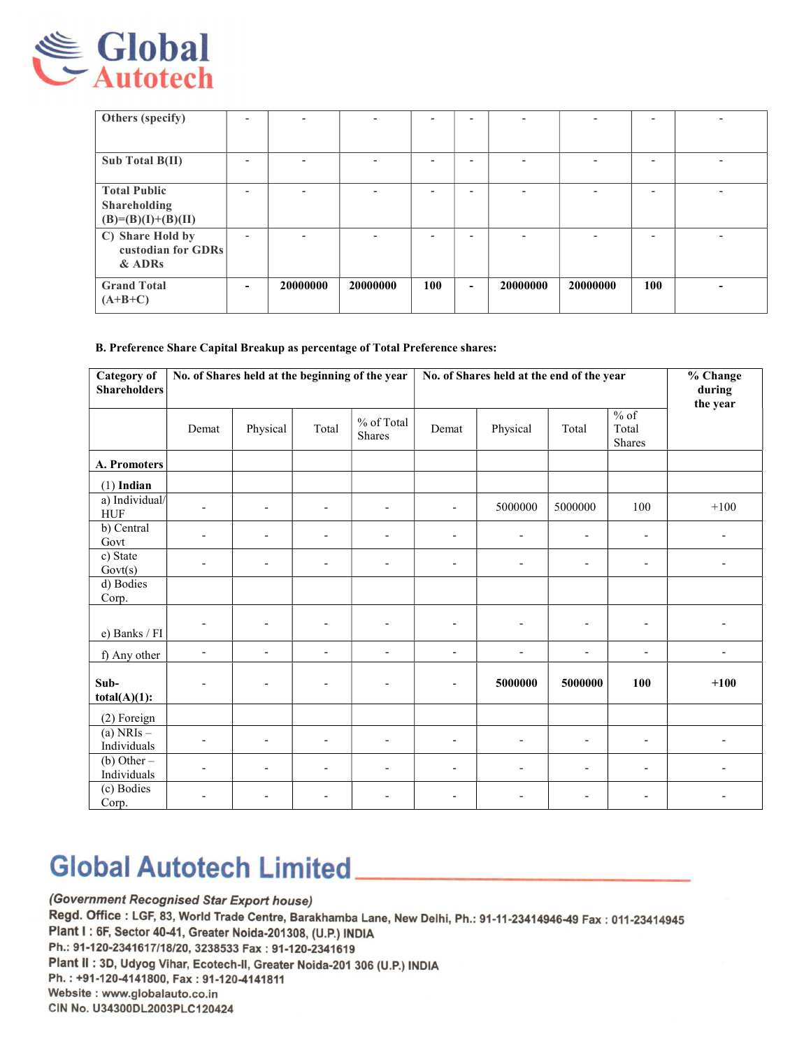

| Others (specify)                                                   | $\overline{\phantom{0}}$ |          |          | -                        |                          |                          |                          |                          |                          |
|--------------------------------------------------------------------|--------------------------|----------|----------|--------------------------|--------------------------|--------------------------|--------------------------|--------------------------|--------------------------|
| Sub Total B(II)                                                    | $\overline{\phantom{0}}$ | -        |          | $\overline{\phantom{0}}$ | $\overline{\phantom{0}}$ | $\overline{\phantom{0}}$ | $\overline{\phantom{0}}$ | $\overline{\phantom{0}}$ | $\overline{\phantom{0}}$ |
| <b>Total Public</b><br><b>Shareholding</b><br>$(B)=(B)(I)+(B)(II)$ | $\overline{\phantom{0}}$ |          |          | -                        | ۰                        |                          | -                        |                          |                          |
| C) Share Hold by<br>custodian for GDRs<br>$&$ ADRs                 | $\overline{\phantom{0}}$ | -        |          | -                        | ۰                        |                          | $\overline{\phantom{0}}$ |                          | $\overline{\phantom{0}}$ |
| <b>Grand Total</b><br>$(A+B+C)$                                    |                          | 20000000 | 20000000 | 100                      | -                        | 20000000                 | 20000000                 | 100                      |                          |

### B. Preference Share Capital Breakup as percentage of Total Preference shares:

| <b>Category</b> of<br><b>Shareholders</b> | No. of Shares held at the beginning of the year<br>No. of Shares held at the end of the year |                          |                              |                              |                          |                              |                          |                                          | % Change<br>during<br>the year |
|-------------------------------------------|----------------------------------------------------------------------------------------------|--------------------------|------------------------------|------------------------------|--------------------------|------------------------------|--------------------------|------------------------------------------|--------------------------------|
|                                           | Demat                                                                                        | Physical                 | Total                        | % of Total<br><b>Shares</b>  | Demat                    | Physical                     | Total                    | $\sqrt[6]{\text{of}}$<br>Total<br>Shares |                                |
| A. Promoters                              |                                                                                              |                          |                              |                              |                          |                              |                          |                                          |                                |
| $(1)$ Indian                              |                                                                                              |                          |                              |                              |                          |                              |                          |                                          |                                |
| a) Individual/<br><b>HUF</b>              |                                                                                              | $\overline{\phantom{0}}$ | $\overline{\phantom{0}}$     |                              | $\overline{\phantom{a}}$ | 5000000                      | 5000000                  | 100                                      | $+100$                         |
| b) Central<br>Govt                        |                                                                                              | $\overline{\phantom{0}}$ | $\overline{\phantom{0}}$     | $\overline{\phantom{0}}$     | $\overline{\phantom{a}}$ | $\overline{\phantom{a}}$     | $\overline{\phantom{a}}$ | $\overline{\phantom{a}}$                 |                                |
| c) State<br>Govt(s)                       | $\overline{\phantom{0}}$                                                                     | $\overline{\phantom{a}}$ | $\overline{\phantom{a}}$     | $\qquad \qquad \blacksquare$ | $\overline{\phantom{a}}$ | $\overline{\phantom{0}}$     | $\overline{\phantom{a}}$ | $\overline{\phantom{a}}$                 |                                |
| d) Bodies<br>Corp.                        |                                                                                              |                          |                              |                              |                          |                              |                          |                                          |                                |
| e) Banks / FI                             |                                                                                              | $\overline{\phantom{0}}$ | $\qquad \qquad \blacksquare$ | $\overline{\phantom{0}}$     | $\overline{\phantom{a}}$ | $\overline{\phantom{0}}$     | $\overline{\phantom{a}}$ | $\overline{\phantom{a}}$                 |                                |
| f) Any other                              | $\overline{\phantom{a}}$                                                                     | $\overline{\phantom{a}}$ | $\qquad \qquad \blacksquare$ | $\overline{\phantom{a}}$     | $\overline{\phantom{a}}$ | $\qquad \qquad \blacksquare$ | $\overline{\phantom{a}}$ | $\overline{\phantom{a}}$                 | $\overline{\phantom{a}}$       |
| Sub-<br>$total(A)(1)$ :                   | $\overline{\phantom{a}}$                                                                     | $\overline{\phantom{0}}$ | $\overline{\phantom{a}}$     | ۰                            | $\overline{\phantom{a}}$ | 5000000                      | 5000000                  | 100                                      | $+100$                         |
| (2) Foreign                               |                                                                                              |                          |                              |                              |                          |                              |                          |                                          |                                |
| $(a)$ NRIs $-$<br>Individuals             |                                                                                              | $\overline{\phantom{a}}$ | $\overline{\phantom{0}}$     | ٠                            | $\overline{\phantom{a}}$ | $\overline{\phantom{0}}$     | $\overline{a}$           | $\overline{\phantom{a}}$                 |                                |
| $(b)$ Other $-$<br>Individuals            | $\overline{\phantom{0}}$                                                                     | $\overline{\phantom{a}}$ | $\overline{a}$               | $\overline{\phantom{0}}$     | $\overline{\phantom{a}}$ | $\overline{\phantom{0}}$     | $\overline{a}$           | $\overline{\phantom{a}}$                 |                                |
| (c) Bodies<br>Corp.                       | $\overline{\phantom{0}}$                                                                     |                          | $\overline{a}$               | $\qquad \qquad \blacksquare$ | $\overline{\phantom{a}}$ | $\overline{\phantom{0}}$     | $\overline{\phantom{0}}$ | $\overline{\phantom{a}}$                 |                                |

# **Global Autotech Limited**

## (Government Recognised Star Export house)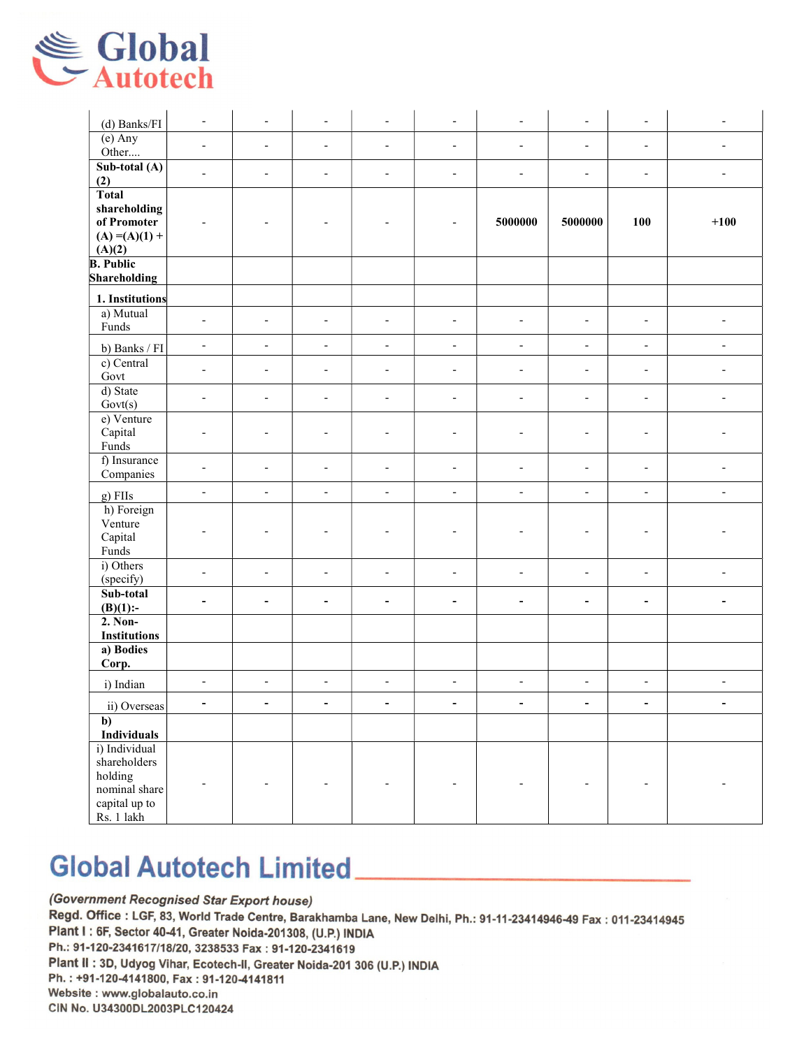

| (d) Banks/FI                                                                             | $\qquad \qquad \blacksquare$ | $\overline{\phantom{a}}$ | $\overline{\phantom{a}}$ | $\overline{\phantom{a}}$ | $\overline{a}$           | $\overline{\phantom{a}}$ | $\overline{a}$               | $\overline{\phantom{a}}$ | $\qquad \qquad -$        |
|------------------------------------------------------------------------------------------|------------------------------|--------------------------|--------------------------|--------------------------|--------------------------|--------------------------|------------------------------|--------------------------|--------------------------|
| $(e)$ Any<br>Other                                                                       | $\overline{\phantom{a}}$     | $\overline{\phantom{a}}$ | $\overline{\phantom{a}}$ | $\overline{\phantom{a}}$ | $\overline{\phantom{a}}$ | $\overline{\phantom{a}}$ | $\qquad \qquad \blacksquare$ | $\overline{\phantom{a}}$ | $\qquad \qquad -$        |
| Sub-total $(A)$<br>(2)                                                                   | $\overline{\phantom{a}}$     | $\overline{\phantom{a}}$ | $\overline{\phantom{a}}$ | $\overline{\phantom{a}}$ | $\overline{\phantom{0}}$ | $\overline{\phantom{a}}$ | $\overline{\phantom{a}}$     | $\overline{\phantom{a}}$ | $\qquad \qquad -$        |
| <b>Total</b><br>shareholding<br>of Promoter<br>$(A) = (A)(1) +$<br>(A)(2)                |                              |                          |                          |                          | $\overline{\phantom{0}}$ | 5000000                  | 5000000                      | 100                      | $+100$                   |
| <b>B.</b> Public<br>Shareholding                                                         |                              |                          |                          |                          |                          |                          |                              |                          |                          |
| 1. Institutions                                                                          |                              |                          |                          |                          |                          |                          |                              |                          |                          |
| a) Mutual<br>Funds                                                                       | $\overline{\phantom{a}}$     | $\overline{\phantom{a}}$ | $\overline{\phantom{a}}$ | $\overline{\phantom{a}}$ | $\overline{\phantom{a}}$ | $\overline{\phantom{a}}$ | $\overline{\phantom{a}}$     | $\overline{\phantom{a}}$ | $\overline{a}$           |
| b) Banks / FI                                                                            | $\overline{\phantom{a}}$     | $\overline{\phantom{a}}$ | $\overline{\phantom{a}}$ | $\overline{\phantom{a}}$ | $\overline{\phantom{a}}$ | $\overline{\phantom{a}}$ | $\overline{\phantom{a}}$     | $\overline{\phantom{a}}$ | $\overline{\phantom{a}}$ |
| c) Central<br>Govt                                                                       | $\overline{a}$               | $\overline{\phantom{a}}$ | $\overline{\phantom{a}}$ | $\overline{\phantom{a}}$ | $\frac{1}{2}$            | $\overline{\phantom{a}}$ | $\frac{1}{2}$                | $\overline{\phantom{a}}$ | $\overline{a}$           |
| d) State<br>Govt(s)                                                                      | $\overline{\phantom{a}}$     | $\overline{\phantom{a}}$ | $\overline{\phantom{a}}$ | $\overline{\phantom{a}}$ | $\overline{\phantom{0}}$ | $\overline{\phantom{a}}$ | $\overline{a}$               | $\overline{\phantom{a}}$ | $\qquad \qquad -$        |
| e) Venture<br>Capital<br>Funds                                                           | $\overline{\phantom{a}}$     | $\overline{a}$           |                          | $\overline{\phantom{0}}$ | $\overline{\phantom{a}}$ | $\overline{\phantom{a}}$ | $\overline{\phantom{a}}$     | $\overline{\phantom{a}}$ |                          |
| f) Insurance<br>Companies                                                                | $\overline{\phantom{a}}$     | $\overline{\phantom{a}}$ | $\overline{\phantom{a}}$ | $\overline{\phantom{a}}$ | $\frac{1}{2}$            | $\overline{\phantom{a}}$ | $\overline{\phantom{a}}$     | $\overline{\phantom{a}}$ | $\overline{a}$           |
| g) FIIs                                                                                  | $\overline{\phantom{a}}$     | $\overline{\phantom{a}}$ | $\overline{\phantom{a}}$ | $\overline{\phantom{a}}$ | $\overline{\phantom{a}}$ | $\overline{\phantom{a}}$ | $\overline{\phantom{a}}$     | $\overline{\phantom{a}}$ | $\overline{\phantom{0}}$ |
| h) Foreign<br>Venture<br>Capital<br>Funds                                                |                              |                          |                          |                          | $\overline{a}$           |                          | $\overline{a}$               | $\overline{\phantom{a}}$ |                          |
| i) Others<br>(specify)                                                                   | $\overline{\phantom{a}}$     | $\overline{\phantom{a}}$ | $\overline{\phantom{a}}$ | $\overline{\phantom{a}}$ | $\overline{\phantom{0}}$ | $\overline{\phantom{a}}$ | $\overline{a}$               | $\overline{\phantom{a}}$ | $\overline{\phantom{0}}$ |
| Sub-total<br>$(B)(1)$ :-                                                                 | $\overline{\phantom{m}}$     | $\blacksquare$           | $\overline{\phantom{a}}$ | $\overline{\phantom{a}}$ | $\overline{\phantom{a}}$ | $\blacksquare$           | $\overline{\phantom{m}}$     | $\overline{\phantom{a}}$ | $\overline{\phantom{0}}$ |
| $2.$ Non-<br><b>Institutions</b>                                                         |                              |                          |                          |                          |                          |                          |                              |                          |                          |
| a) Bodies<br>Corp.                                                                       |                              |                          |                          |                          |                          |                          |                              |                          |                          |
| i) Indian                                                                                | $\qquad \qquad \blacksquare$ | $\overline{\phantom{a}}$ | $\overline{\phantom{a}}$ | $\overline{\phantom{a}}$ | $\overline{\phantom{0}}$ | $\overline{\phantom{a}}$ | $\qquad \qquad \blacksquare$ | $\overline{\phantom{a}}$ | $\qquad \qquad -$        |
| ii) Overseas                                                                             |                              |                          |                          |                          |                          |                          |                              |                          |                          |
| b)<br>Individuals                                                                        |                              |                          |                          |                          |                          |                          |                              |                          |                          |
| i) Individual<br>shareholders<br>holding<br>nominal share<br>capital up to<br>Rs. 1 lakh |                              |                          |                          |                          |                          |                          |                              |                          |                          |

# **Global Autotech Limited**

## (Government Recognised Star Export house)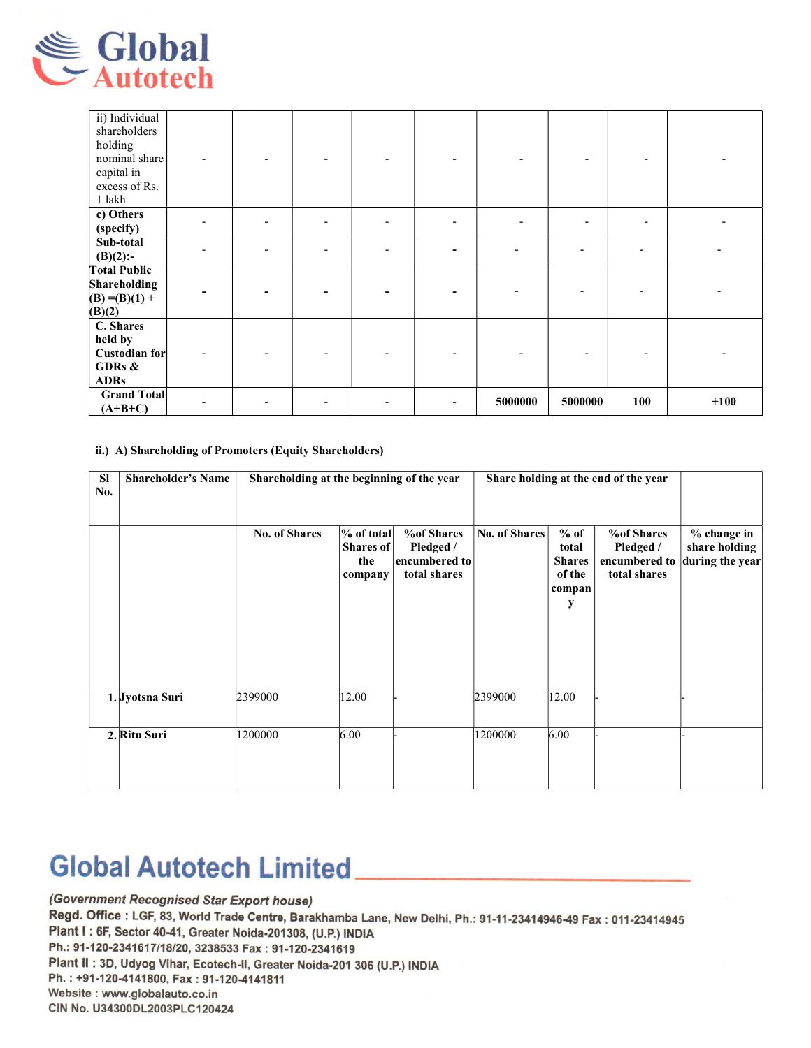

| ii) Individual      |   |   |                          |                              |                          |                          |                          |        |
|---------------------|---|---|--------------------------|------------------------------|--------------------------|--------------------------|--------------------------|--------|
| shareholders        |   |   |                          |                              |                          |                          |                          |        |
| holding             |   |   |                          |                              |                          |                          |                          |        |
| nominal share       |   |   |                          | $\qquad \qquad \blacksquare$ |                          | $\overline{\phantom{0}}$ |                          |        |
| capital in          |   |   |                          |                              |                          |                          |                          |        |
| excess of Rs.       |   |   |                          |                              |                          |                          |                          |        |
| 1 lakh              |   |   |                          |                              |                          |                          |                          |        |
| c) Others           | ٠ | - | $\overline{\phantom{a}}$ | $\overline{\phantom{0}}$     |                          | $\overline{\phantom{a}}$ | $\overline{\phantom{a}}$ |        |
| (specify)           |   |   |                          |                              |                          |                          |                          |        |
| Sub-total           |   | ٠ | $\overline{\phantom{0}}$ | -                            | $\overline{\phantom{0}}$ | $\overline{\phantom{0}}$ | ٠                        |        |
| $(B)(2)$ :-         |   |   |                          |                              |                          |                          |                          |        |
| <b>Total Public</b> |   |   |                          |                              |                          |                          |                          |        |
| <b>Shareholding</b> |   |   |                          |                              |                          |                          |                          |        |
| $(B) = (B)(1) +$    |   |   |                          | -                            |                          |                          |                          |        |
| (B)(2)              |   |   |                          |                              |                          |                          |                          |        |
| C. Shares           |   |   |                          |                              |                          |                          |                          |        |
| held by             |   |   |                          |                              |                          |                          |                          |        |
| Custodian for       |   |   |                          | $\overline{\phantom{0}}$     |                          |                          |                          |        |
| GDRs &              |   |   |                          |                              |                          |                          |                          |        |
| <b>ADRs</b>         |   |   |                          |                              |                          |                          |                          |        |
| <b>Grand Total</b>  |   |   |                          |                              |                          |                          |                          | $+100$ |
| $(A+B+C)$           |   |   |                          | $\qquad \qquad \blacksquare$ | 5000000                  | 5000000                  | 100                      |        |

### ii.) A) Shareholding of Promoters (Equity Shareholders)

| <b>SI</b><br>No. | <b>Shareholder's Name</b> | Shareholding at the beginning of the year | Share holding at the end of the year      |                                                                 |                      |                                                           |                                                                 |                                                 |
|------------------|---------------------------|-------------------------------------------|-------------------------------------------|-----------------------------------------------------------------|----------------------|-----------------------------------------------------------|-----------------------------------------------------------------|-------------------------------------------------|
|                  |                           | <b>No. of Shares</b>                      | % of total<br>Shares of<br>the<br>company | <b>%of Shares</b><br>Pledged /<br>encumbered to<br>total shares | <b>No. of Shares</b> | $%$ of<br>total<br><b>Shares</b><br>of the<br>compan<br>у | <b>%of Shares</b><br>Pledged /<br>encumbered to<br>total shares | % change in<br>share holding<br>during the year |
|                  | 1. Jyotsna Suri           | 2399000                                   | 12.00                                     |                                                                 | 2399000              | 12.00                                                     |                                                                 |                                                 |
|                  | 2. Ritu Suri              | 1200000                                   | 6.00                                      |                                                                 | 1200000              | 6.00                                                      |                                                                 |                                                 |

# **Global Autotech Limited**

## (Government Recognised Star Export house)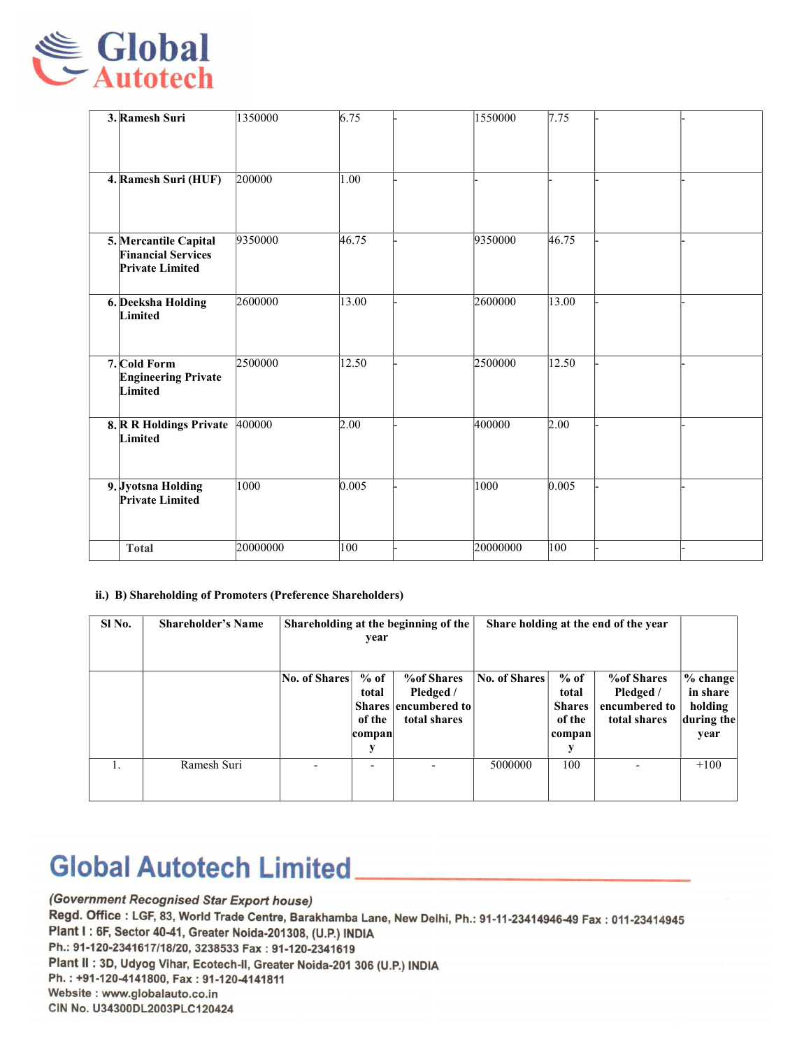

| 3. Ramesh Suri                                      | 1350000  | 6.75  | 1550000  | 7.75  |  |
|-----------------------------------------------------|----------|-------|----------|-------|--|
|                                                     |          |       |          |       |  |
|                                                     |          |       |          |       |  |
| 4. Ramesh Suri (HUF)                                | 200000   | 1.00  |          |       |  |
|                                                     |          |       |          |       |  |
| 5. Mercantile Capital                               | 9350000  | 46.75 | 9350000  | 46.75 |  |
| <b>Financial Services</b><br><b>Private Limited</b> |          |       |          |       |  |
|                                                     |          |       |          |       |  |
| 6. Deeksha Holding<br>Limited                       | 2600000  | 13.00 | 2600000  | 13.00 |  |
|                                                     |          |       |          |       |  |
| 7. Cold Form<br><b>Engineering Private</b>          | 2500000  | 12.50 | 2500000  | 12.50 |  |
| Limited                                             |          |       |          |       |  |
| 8. R R Holdings Private 400000                      |          | 2.00  | 400000   | 2.00  |  |
| Limited                                             |          |       |          |       |  |
|                                                     |          |       |          |       |  |
| 9. Jyotsna Holding<br><b>Private Limited</b>        | 1000     | 0.005 | 1000     | 0.005 |  |
|                                                     |          |       |          |       |  |
|                                                     |          |       |          |       |  |
| <b>Total</b>                                        | 20000000 | 100   | 20000000 | 100   |  |

### ii.) B) Shareholding of Promoters (Preference Shareholders)

| Sl No. | <b>Shareholder's Name</b> |               | year                                     | Shareholding at the beginning of the                                          |               |                                                      | Share holding at the end of the year                            |                                                       |
|--------|---------------------------|---------------|------------------------------------------|-------------------------------------------------------------------------------|---------------|------------------------------------------------------|-----------------------------------------------------------------|-------------------------------------------------------|
|        |                           | No. of Shares | $%$ of<br>total<br>of the<br>compan<br>у | <b>%of Shares</b><br>Pledged /<br><b>Shares encumbered to</b><br>total shares | No. of Shares | $%$ of<br>total<br><b>Shares</b><br>of the<br>compan | <b>%of Shares</b><br>Pledged /<br>encumbered to<br>total shares | % change<br>in share<br>holding<br>during the<br>year |
|        | Ramesh Suri               |               | $\overline{\phantom{0}}$                 |                                                                               | 5000000       | 100                                                  |                                                                 | $+100$                                                |

# **Global Autotech Limited**

## (Government Recognised Star Export house)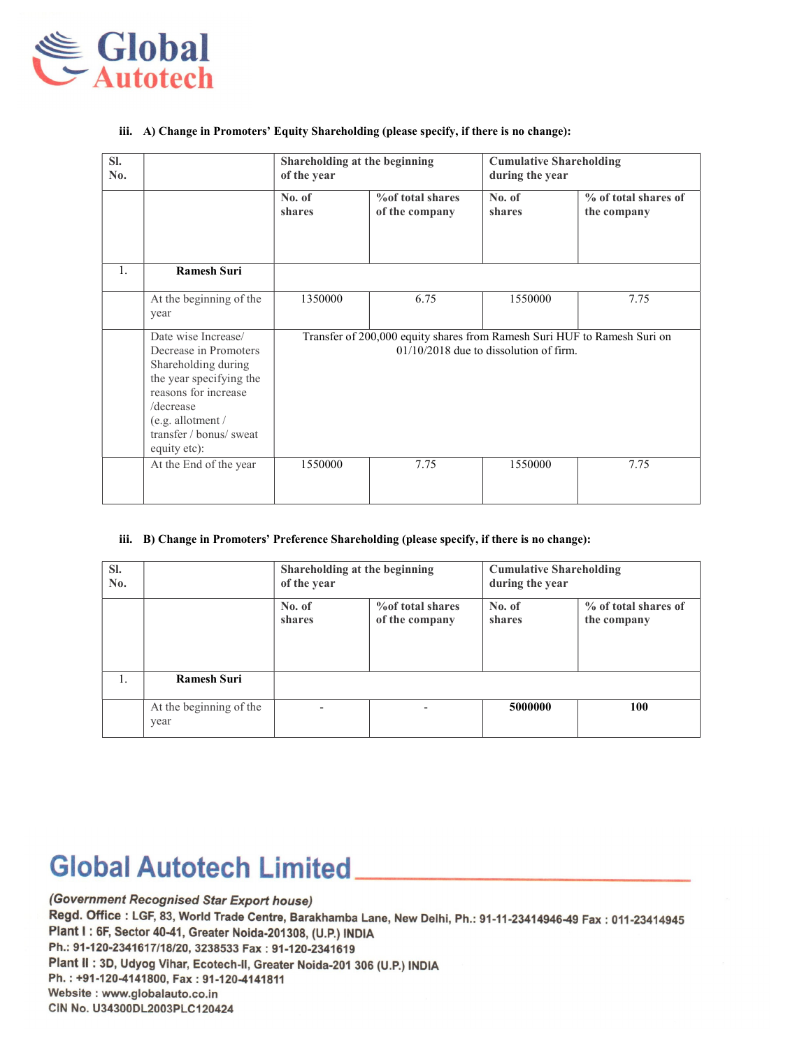

### iii. A) Change in Promoters' Equity Shareholding (please specify, if there is no change):

| SI.<br>No. |                                                                                                                                                                                                     | Shareholding at the beginning<br>of the year |                                                                          | <b>Cumulative Shareholding</b><br>during the year |                                     |  |
|------------|-----------------------------------------------------------------------------------------------------------------------------------------------------------------------------------------------------|----------------------------------------------|--------------------------------------------------------------------------|---------------------------------------------------|-------------------------------------|--|
|            |                                                                                                                                                                                                     | No. of<br>shares                             | % of total shares<br>of the company                                      | No. of<br>shares                                  | % of total shares of<br>the company |  |
| Ι.         | Ramesh Suri                                                                                                                                                                                         |                                              |                                                                          |                                                   |                                     |  |
|            | At the beginning of the<br>year                                                                                                                                                                     | 1350000                                      | 6.75                                                                     | 1550000                                           | 7.75                                |  |
|            | Date wise Increase/<br>Decrease in Promoters<br>Shareholding during<br>the year specifying the<br>reasons for increase<br>/decrease<br>(e.g. allotment /<br>transfer / bonus/ sweat<br>equity etc): |                                              | Transfer of 200,000 equity shares from Ramesh Suri HUF to Ramesh Suri on | $01/10/2018$ due to dissolution of firm.          |                                     |  |
|            | At the End of the year                                                                                                                                                                              | 1550000                                      | 7.75                                                                     | 1550000                                           | 7.75                                |  |

### iii. B) Change in Promoters' Preference Shareholding (please specify, if there is no change):

| SI.<br>No. |                                 | Shareholding at the beginning<br>of the year |                                            | <b>Cumulative Shareholding</b><br>during the year |                                     |  |
|------------|---------------------------------|----------------------------------------------|--------------------------------------------|---------------------------------------------------|-------------------------------------|--|
|            |                                 | No. of<br>shares                             | <b>% of total shares</b><br>of the company | No. of<br>shares                                  | % of total shares of<br>the company |  |
| 1.         | <b>Ramesh Suri</b>              |                                              |                                            |                                                   |                                     |  |
|            | At the beginning of the<br>year | $\overline{\phantom{0}}$                     |                                            | 5000000                                           | 100                                 |  |

# **Global Autotech Limited**

## (Government Recognised Star Export house)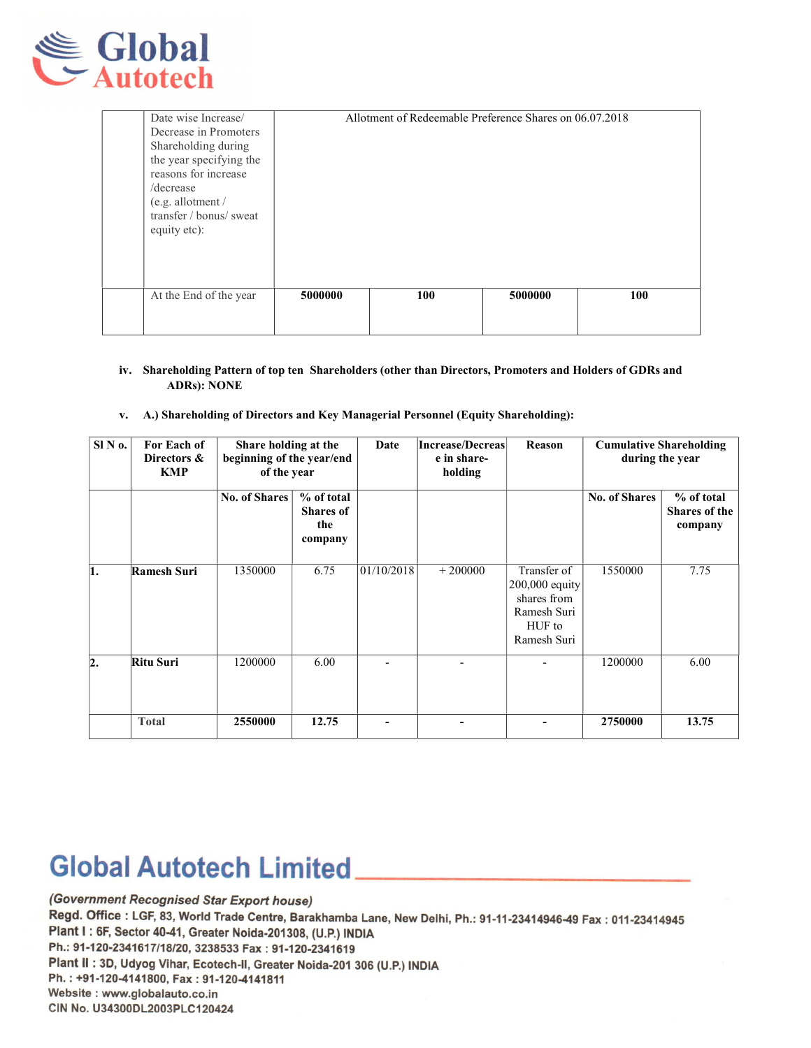

| Date wise Increase/<br>Decrease in Promoters<br>Shareholding during<br>the year specifying the<br>reasons for increase<br>/decrease<br>$(e.g.$ allotment /<br>transfer / bonus/ sweat<br>equity etc): |         | Allotment of Redeemable Preference Shares on 06.07.2018 |         |     |
|-------------------------------------------------------------------------------------------------------------------------------------------------------------------------------------------------------|---------|---------------------------------------------------------|---------|-----|
| At the End of the year                                                                                                                                                                                | 5000000 | 100                                                     | 5000000 | 100 |
|                                                                                                                                                                                                       |         |                                                         |         |     |

### iv. Shareholding Pattern of top ten Shareholders (other than Directors, Promoters and Holders of GDRs and ADRs): NONE

v. A.) Shareholding of Directors and Key Managerial Personnel (Equity Shareholding):

| SIN o. | For Each of<br>Directors &<br><b>KMP</b> | Share holding at the<br>beginning of the year/end<br>of the year |                                                  | Date       | Increase/Decreas<br>e in share-<br>holding | <b>Reason</b>                                                                          | <b>Cumulative Shareholding</b><br>during the year |                                        |
|--------|------------------------------------------|------------------------------------------------------------------|--------------------------------------------------|------------|--------------------------------------------|----------------------------------------------------------------------------------------|---------------------------------------------------|----------------------------------------|
|        |                                          | <b>No. of Shares</b>                                             | % of total<br><b>Shares of</b><br>the<br>company |            |                                            |                                                                                        | <b>No. of Shares</b>                              | % of total<br>Shares of the<br>company |
| 1.     | <b>Ramesh Suri</b>                       | 1350000                                                          | 6.75                                             | 01/10/2018 | $+200000$                                  | Transfer of<br>$200,000$ equity<br>shares from<br>Ramesh Suri<br>HUF to<br>Ramesh Suri | 1550000                                           | 7.75                                   |
| 2.     | Ritu Suri                                | 1200000                                                          | 6.00                                             |            |                                            |                                                                                        | 1200000                                           | 6.00                                   |
|        | <b>Total</b>                             | 2550000                                                          | 12.75                                            | -          | -                                          | -                                                                                      | 2750000                                           | 13.75                                  |

# **Global Autotech Limited**

## (Government Recognised Star Export house)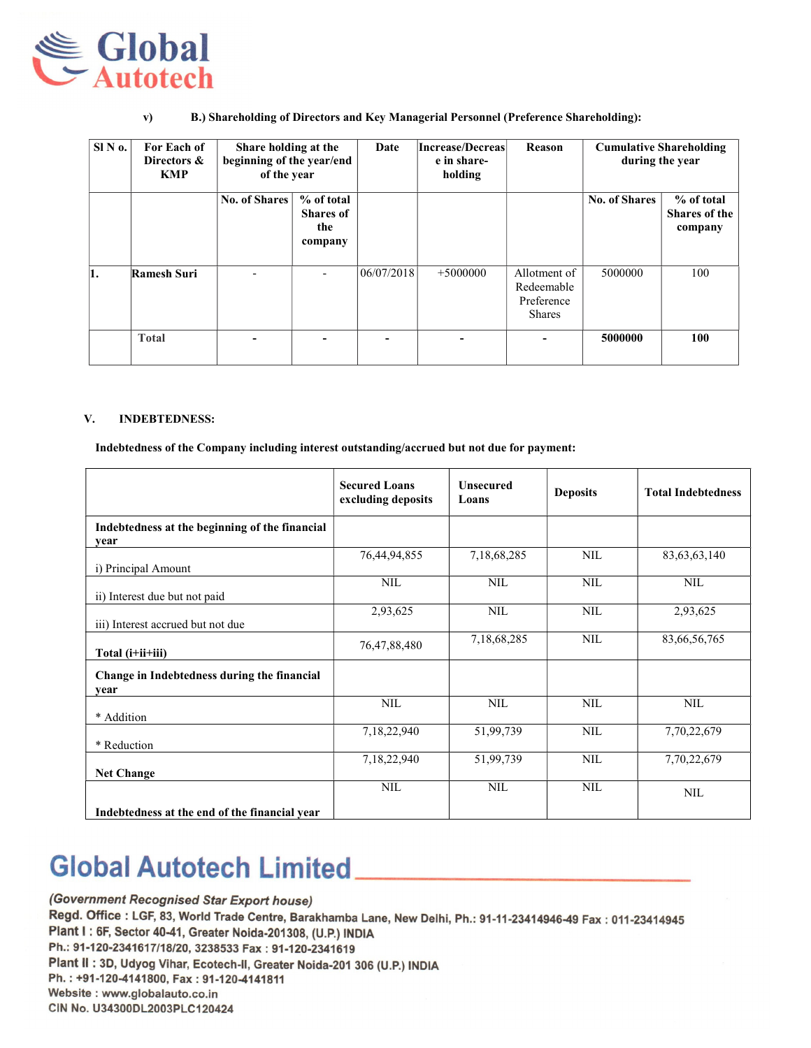

### v) B.) Shareholding of Directors and Key Managerial Personnel (Preference Shareholding):

| $SIN$ o. | For Each of<br>Directors &<br><b>KMP</b> | Share holding at the<br>beginning of the year/end<br>of the year |                                                  | Date       | Increase/Decreas<br>e in share-<br>holding | Reason                                                    | <b>Cumulative Shareholding</b><br>during the year |                                               |
|----------|------------------------------------------|------------------------------------------------------------------|--------------------------------------------------|------------|--------------------------------------------|-----------------------------------------------------------|---------------------------------------------------|-----------------------------------------------|
|          |                                          | <b>No. of Shares</b>                                             | % of total<br><b>Shares of</b><br>the<br>company |            |                                            |                                                           | <b>No. of Shares</b>                              | % of total<br><b>Shares of the</b><br>company |
| 1.       | <b>Ramesh Suri</b>                       |                                                                  |                                                  | 06/07/2018 | $+5000000$                                 | Allotment of<br>Redeemable<br>Preference<br><b>Shares</b> | 5000000                                           | 100                                           |
|          | <b>Total</b>                             |                                                                  |                                                  | -          |                                            | -                                                         | 5000000                                           | 100                                           |

### V. INDEBTEDNESS:

Indebtedness of the Company including interest outstanding/accrued but not due for payment:

|                                                     | <b>Secured Loans</b><br>excluding deposits | <b>Unsecured</b><br>Loans | <b>Deposits</b> | <b>Total Indebtedness</b> |
|-----------------------------------------------------|--------------------------------------------|---------------------------|-----------------|---------------------------|
| Indebtedness at the beginning of the financial      |                                            |                           |                 |                           |
| year                                                |                                            |                           |                 |                           |
|                                                     | 76, 44, 94, 855                            | 7,18,68,285               | <b>NIL</b>      | 83, 63, 63, 140           |
| i) Principal Amount                                 |                                            |                           |                 |                           |
|                                                     | <b>NIL</b>                                 | <b>NIL</b>                | <b>NIL</b>      | <b>NIL</b>                |
| ii) Interest due but not paid                       |                                            |                           |                 |                           |
|                                                     | 2,93,625                                   | <b>NIL</b>                | <b>NIL</b>      | 2,93,625                  |
| iii) Interest accrued but not due                   |                                            |                           |                 |                           |
| Total (i+ii+iii)                                    | 76,47,88,480                               | 7,18,68,285               | NIL             | 83,66,56,765              |
| Change in Indebtedness during the financial<br>vear |                                            |                           |                 |                           |
|                                                     | <b>NIL</b>                                 | <b>NIL</b>                | <b>NIL</b>      | <b>NIL</b>                |
| * Addition                                          |                                            |                           |                 |                           |
|                                                     | 7,18,22,940                                | 51,99,739                 | <b>NIL</b>      | 7,70,22,679               |
| * Reduction                                         |                                            |                           |                 |                           |
|                                                     | 7,18,22,940                                | 51,99,739                 | <b>NIL</b>      | 7,70,22,679               |
| <b>Net Change</b>                                   |                                            |                           |                 |                           |
|                                                     | <b>NIL</b>                                 | <b>NIL</b>                | <b>NIL</b>      | <b>NIL</b>                |
| Indebtedness at the end of the financial year       |                                            |                           |                 |                           |

# **Global Autotech Limited**

## (Government Recognised Star Export house)